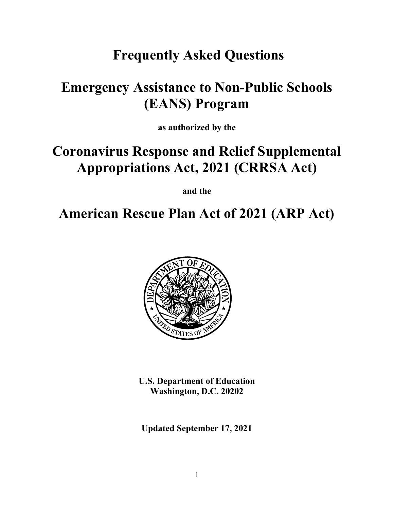# **Frequently Asked Questions**

# **Emergency Assistance to Non-Public Schools (EANS) Program**

**as authorized by the**

# **Coronavirus Response and Relief Supplemental Appropriations Act, 2021 (CRRSA Act)**

**and the**

# **American Rescue Plan Act of 2021 (ARP Act)**



**U.S. Department of Education Washington, D.C. 20202**

**Updated September 17, 2021**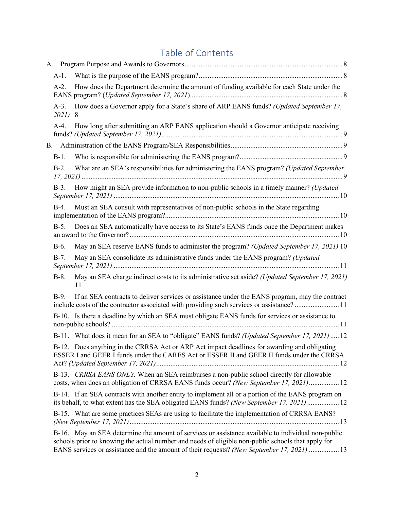# Table of Contents

| $A-1$ .                  |                                                                                                                                                                                                                                                                                                        |  |
|--------------------------|--------------------------------------------------------------------------------------------------------------------------------------------------------------------------------------------------------------------------------------------------------------------------------------------------------|--|
| $A-2.$                   | How does the Department determine the amount of funding available for each State under the                                                                                                                                                                                                             |  |
| $A-3$ .<br><i>2021</i> ) | How does a Governor apply for a State's share of ARP EANS funds? (Updated September 17,<br>8                                                                                                                                                                                                           |  |
| $A-4.$                   | How long after submitting an ARP EANS application should a Governor anticipate receiving                                                                                                                                                                                                               |  |
|                          |                                                                                                                                                                                                                                                                                                        |  |
| $B-1$ .                  |                                                                                                                                                                                                                                                                                                        |  |
| $B-2.$                   | What are an SEA's responsibilities for administering the EANS program? (Updated September                                                                                                                                                                                                              |  |
| $B-3$ .                  | How might an SEA provide information to non-public schools in a timely manner? (Updated                                                                                                                                                                                                                |  |
| $B-4.$                   | Must an SEA consult with representatives of non-public schools in the State regarding                                                                                                                                                                                                                  |  |
| $B-5.$                   | Does an SEA automatically have access to its State's EANS funds once the Department makes                                                                                                                                                                                                              |  |
| $B-6.$                   | May an SEA reserve EANS funds to administer the program? (Updated September 17, 2021) 10                                                                                                                                                                                                               |  |
| $B-7.$                   | May an SEA consolidate its administrative funds under the EANS program? (Updated                                                                                                                                                                                                                       |  |
| $B-8$ .                  | May an SEA charge indirect costs to its administrative set aside? (Updated September 17, 2021)<br>11                                                                                                                                                                                                   |  |
| $B-9.$                   | If an SEA contracts to deliver services or assistance under the EANS program, may the contract<br>include costs of the contractor associated with providing such services or assistance?11                                                                                                             |  |
|                          | B-10. Is there a deadline by which an SEA must obligate EANS funds for services or assistance to                                                                                                                                                                                                       |  |
|                          | B-11. What does it mean for an SEA to "obligate" EANS funds? (Updated September 17, 2021)  12                                                                                                                                                                                                          |  |
|                          | B-12. Does anything in the CRRSA Act or ARP Act impact deadlines for awarding and obligating<br>ESSER I and GEER I funds under the CARES Act or ESSER II and GEER II funds under the CRRSA                                                                                                             |  |
|                          | B-13. CRRSA EANS ONLY. When an SEA reimburses a non-public school directly for allowable<br>costs, when does an obligation of CRRSA EANS funds occur? (New September 17, 2021) 12                                                                                                                      |  |
|                          | B-14. If an SEA contracts with another entity to implement all or a portion of the EANS program on<br>its behalf, to what extent has the SEA obligated EANS funds? (New September 17, 2021)  12                                                                                                        |  |
|                          | B-15. What are some practices SEAs are using to facilitate the implementation of CRRSA EANS?                                                                                                                                                                                                           |  |
|                          | B-16. May an SEA determine the amount of services or assistance available to individual non-public<br>schools prior to knowing the actual number and needs of eligible non-public schools that apply for<br>EANS services or assistance and the amount of their requests? (New September 17, 2021)  13 |  |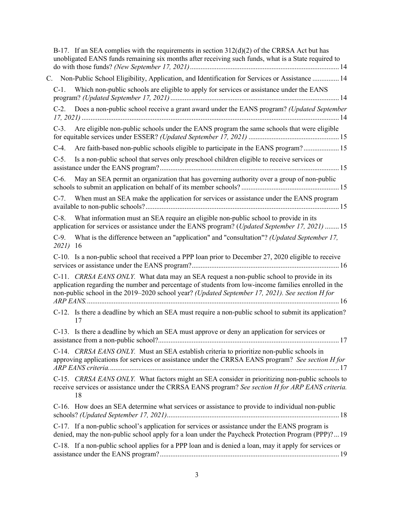|                    | B-17. If an SEA complies with the requirements in section $312(d)(2)$ of the CRRSA Act but has<br>unobligated EANS funds remaining six months after receiving such funds, what is a State required to                                                                                                |
|--------------------|------------------------------------------------------------------------------------------------------------------------------------------------------------------------------------------------------------------------------------------------------------------------------------------------------|
|                    | C. Non-Public School Eligibility, Application, and Identification for Services or Assistance  14                                                                                                                                                                                                     |
| $C-1$ .            | Which non-public schools are eligible to apply for services or assistance under the EANS                                                                                                                                                                                                             |
| $C-2$ .            | Does a non-public school receive a grant award under the EANS program? (Updated September                                                                                                                                                                                                            |
| $C-3$ .            | Are eligible non-public schools under the EANS program the same schools that were eligible                                                                                                                                                                                                           |
| $C-4.$             | Are faith-based non-public schools eligible to participate in the EANS program? 15                                                                                                                                                                                                                   |
| $C-5$ .            | Is a non-public school that serves only preschool children eligible to receive services or                                                                                                                                                                                                           |
| $C-6.$             | May an SEA permit an organization that has governing authority over a group of non-public                                                                                                                                                                                                            |
| $C-7$ .            | When must an SEA make the application for services or assistance under the EANS program                                                                                                                                                                                                              |
| $C-8$ .            | What information must an SEA require an eligible non-public school to provide in its<br>application for services or assistance under the EANS program? (Updated September 17, 2021)  15                                                                                                              |
| $C-9.$<br>2021) 16 | What is the difference between an "application" and "consultation"? (Updated September 17,                                                                                                                                                                                                           |
|                    | C-10. Is a non-public school that received a PPP loan prior to December 27, 2020 eligible to receive                                                                                                                                                                                                 |
|                    | C-11. CRRSA EANS ONLY. What data may an SEA request a non-public school to provide in its<br>application regarding the number and percentage of students from low-income families enrolled in the<br>non-public school in the 2019-2020 school year? (Updated September 17, 2021). See section H for |
|                    | C-12. Is there a deadline by which an SEA must require a non-public school to submit its application?<br>17                                                                                                                                                                                          |
|                    | C-13. Is there a deadline by which an SEA must approve or deny an application for services or                                                                                                                                                                                                        |
|                    | C-14. CRRSA EANS ONLY. Must an SEA establish criteria to prioritize non-public schools in<br>approving applications for services or assistance under the CRRSA EANS program? See section H for                                                                                                       |
|                    | C-15. CRRSA EANS ONLY. What factors might an SEA consider in prioritizing non-public schools to<br>receive services or assistance under the CRRSA EANS program? See section H for ARP EANS criteria.<br>18                                                                                           |
|                    | C-16. How does an SEA determine what services or assistance to provide to individual non-public                                                                                                                                                                                                      |
|                    | C-17. If a non-public school's application for services or assistance under the EANS program is<br>denied, may the non-public school apply for a loan under the Paycheck Protection Program (PPP)? 19                                                                                                |
|                    | C-18. If a non-public school applies for a PPP loan and is denied a loan, may it apply for services or                                                                                                                                                                                               |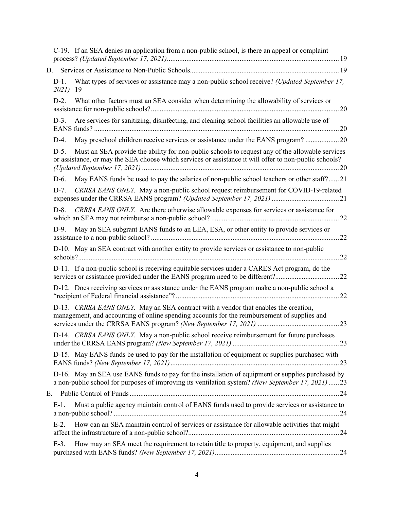|    |                          | C-19. If an SEA denies an application from a non-public school, is there an appeal or complaint                                                                                                           |  |
|----|--------------------------|-----------------------------------------------------------------------------------------------------------------------------------------------------------------------------------------------------------|--|
|    |                          |                                                                                                                                                                                                           |  |
|    | $D-1$ .<br><i>2021</i> ) | What types of services or assistance may a non-public school receive? (Updated September 17,<br>-19                                                                                                       |  |
|    | $D-2$ .                  | What other factors must an SEA consider when determining the allowability of services or                                                                                                                  |  |
|    | $D-3$ .                  | Are services for sanitizing, disinfecting, and cleaning school facilities an allowable use of                                                                                                             |  |
|    | $D-4.$                   | May preschool children receive services or assistance under the EANS program? 20                                                                                                                          |  |
|    | $D-5.$                   | Must an SEA provide the ability for non-public schools to request any of the allowable services<br>or assistance, or may the SEA choose which services or assistance it will offer to non-public schools? |  |
|    | D-6.                     | May EANS funds be used to pay the salaries of non-public school teachers or other staff?21                                                                                                                |  |
|    | $D-7.$                   | CRRSA EANS ONLY. May a non-public school request reimbursement for COVID-19-related                                                                                                                       |  |
|    | $D-8$ .                  | CRRSA EANS ONLY. Are there otherwise allowable expenses for services or assistance for                                                                                                                    |  |
|    | $D-9.$                   | May an SEA subgrant EANS funds to an LEA, ESA, or other entity to provide services or                                                                                                                     |  |
|    |                          | D-10. May an SEA contract with another entity to provide services or assistance to non-public                                                                                                             |  |
|    |                          | D-11. If a non-public school is receiving equitable services under a CARES Act program, do the                                                                                                            |  |
|    |                          | D-12. Does receiving services or assistance under the EANS program make a non-public school a                                                                                                             |  |
|    |                          | D-13. CRRSA EANS ONLY. May an SEA contract with a vendor that enables the creation,<br>management, and accounting of online spending accounts for the reimbursement of supplies and                       |  |
|    |                          | D-14. CRRSA EANS ONLY. May a non-public school receive reimbursement for future purchases                                                                                                                 |  |
|    |                          | D-15. May EANS funds be used to pay for the installation of equipment or supplies purchased with                                                                                                          |  |
|    |                          | D-16. May an SEA use EANS funds to pay for the installation of equipment or supplies purchased by<br>a non-public school for purposes of improving its ventilation system? (New September 17, 2021)  23   |  |
| E. |                          |                                                                                                                                                                                                           |  |
|    | $E-1$ .                  | Must a public agency maintain control of EANS funds used to provide services or assistance to                                                                                                             |  |
|    | $E-2$ .                  | How can an SEA maintain control of services or assistance for allowable activities that might                                                                                                             |  |
|    | $E-3$ .                  | How may an SEA meet the requirement to retain title to property, equipment, and supplies                                                                                                                  |  |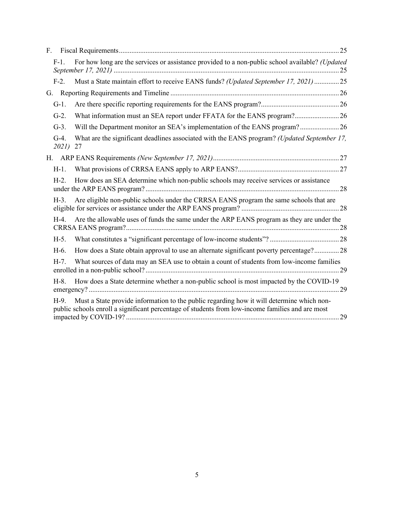| F. |                    |                                                                                                                                                                                               |
|----|--------------------|-----------------------------------------------------------------------------------------------------------------------------------------------------------------------------------------------|
|    | $F-1$ .            | For how long are the services or assistance provided to a non-public school available? (Updated                                                                                               |
|    | $F-2$ .            | Must a State maintain effort to receive EANS funds? (Updated September 17, 2021) 25                                                                                                           |
| G. |                    |                                                                                                                                                                                               |
|    | $G-1$ .            |                                                                                                                                                                                               |
|    | $G-2$ .            |                                                                                                                                                                                               |
|    | $G-3$ .            | Will the Department monitor an SEA's implementation of the EANS program? 26                                                                                                                   |
|    | $G-4.$<br>2021) 27 | What are the significant deadlines associated with the EANS program? (Updated September 17,                                                                                                   |
|    |                    |                                                                                                                                                                                               |
|    | $H-1$ .            |                                                                                                                                                                                               |
|    | $H-2$ .            | How does an SEA determine which non-public schools may receive services or assistance                                                                                                         |
|    | $H-3$ .            | Are eligible non-public schools under the CRRSA EANS program the same schools that are                                                                                                        |
|    | $H-4.$             | Are the allowable uses of funds the same under the ARP EANS program as they are under the                                                                                                     |
|    | $H-5$ .            |                                                                                                                                                                                               |
|    | H-6.               | How does a State obtain approval to use an alternate significant poverty percentage?28                                                                                                        |
|    | $H-7.$             | What sources of data may an SEA use to obtain a count of students from low-income families                                                                                                    |
|    | $H-8.$             | How does a State determine whether a non-public school is most impacted by the COVID-19                                                                                                       |
|    | $H-9.$             | Must a State provide information to the public regarding how it will determine which non-<br>public schools enroll a significant percentage of students from low-income families and are most |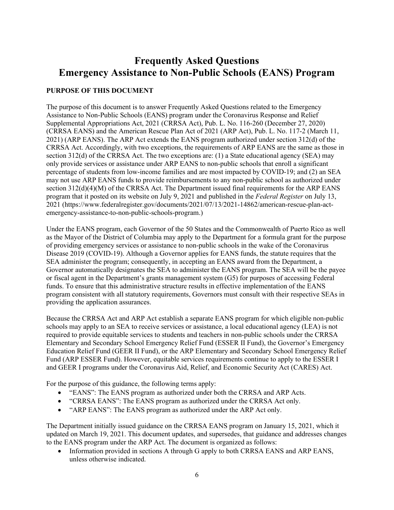# **Frequently Asked Questions Emergency Assistance to Non-Public Schools (EANS) Program**

## **PURPOSE OF THIS DOCUMENT**

The purpose of this document is to answer Frequently Asked Questions related to the Emergency Assistance to Non-Public Schools (EANS) program under the Coronavirus Response and Relief Supplemental Appropriations Act, 2021 (CRRSA Act), Pub. L. No. 116-260 (December 27, 2020) (CRRSA EANS) and the American Rescue Plan Act of 2021 (ARP Act), Pub. L. No. 117-2 (March 11, 2021) (ARP EANS). The ARP Act extends the EANS program authorized under section 312(d) of the CRRSA Act. Accordingly, with two exceptions, the requirements of ARP EANS are the same as those in section 312(d) of the CRRSA Act. The two exceptions are: (1) a State educational agency (SEA) may only provide services or assistance under ARP EANS to non-public schools that enroll a significant percentage of students from low-income families and are most impacted by COVID-19; and (2) an SEA may not use ARP EANS funds to provide reimbursements to any non-public school as authorized under section 312(d)(4)(M) of the CRRSA Act. The Department issued final requirements for the ARP EANS program that it posted on its website on July 9, 2021 and published in the *Federal Register* on July 13, 2021 (https://www.federalregister.gov/documents/2021/07/13/2021-14862/american-rescue-plan-actemergency-assistance-to-non-public-schools-program.)

Under the EANS program, each Governor of the 50 States and the Commonwealth of Puerto Rico as well as the Mayor of the District of Columbia may apply to the Department for a formula grant for the purpose of providing emergency services or assistance to non-public schools in the wake of the Coronavirus Disease 2019 (COVID-19). Although a Governor applies for EANS funds, the statute requires that the SEA administer the program; consequently, in accepting an EANS award from the Department, a Governor automatically designates the SEA to administer the EANS program. The SEA will be the payee or fiscal agent in the Department's grants management system (G5) for purposes of accessing Federal funds. To ensure that this administrative structure results in effective implementation of the EANS program consistent with all statutory requirements, Governors must consult with their respective SEAs in providing the application assurances.

Because the CRRSA Act and ARP Act establish a separate EANS program for which eligible non-public schools may apply to an SEA to receive services or assistance, a local educational agency (LEA) is not required to provide equitable services to students and teachers in non-public schools under the CRRSA Elementary and Secondary School Emergency Relief Fund (ESSER II Fund), the Governor's Emergency Education Relief Fund (GEER II Fund), or the ARP Elementary and Secondary School Emergency Relief Fund (ARP ESSER Fund). However, equitable services requirements continue to apply to the ESSER I and GEER I programs under the Coronavirus Aid, Relief, and Economic Security Act (CARES) Act.

For the purpose of this guidance, the following terms apply:

- "EANS": The EANS program as authorized under both the CRRSA and ARP Acts.
- "CRRSA EANS": The EANS program as authorized under the CRRSA Act only.
- "ARP EANS": The EANS program as authorized under the ARP Act only.

The Department initially issued guidance on the CRRSA EANS program on January 15, 2021, which it updated on March 19, 2021. This document updates, and supersedes, that guidance and addresses changes to the EANS program under the ARP Act. The document is organized as follows:

• Information provided in sections A through G apply to both CRRSA EANS and ARP EANS, unless otherwise indicated.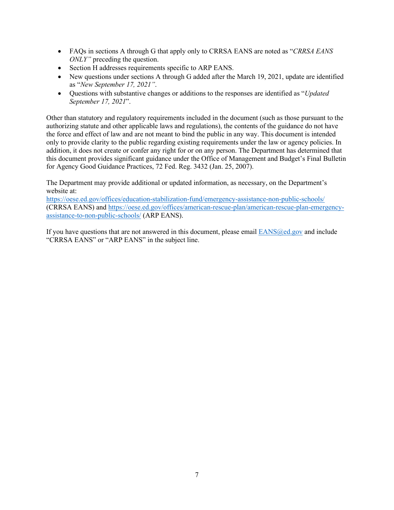- FAQs in sections A through G that apply only to CRRSA EANS are noted as "*CRRSA EANS ONLY*" preceding the question.
- Section H addresses requirements specific to ARP EANS.
- New questions under sections A through G added after the March 19, 2021, update are identified as "*New September 17, 2021"*.
- Questions with substantive changes or additions to the responses are identified as "*Updated September 17, 2021*".

Other than statutory and regulatory requirements included in the document (such as those pursuant to the authorizing statute and other applicable laws and regulations), the contents of the guidance do not have the force and effect of law and are not meant to bind the public in any way. This document is intended only to provide clarity to the public regarding existing requirements under the law or agency policies. In addition, it does not create or confer any right for or on any person. The Department has determined that this document provides significant guidance under the Office of Management and Budget's Final Bulletin for Agency Good Guidance Practices, 72 Fed. Reg. 3432 (Jan. 25, 2007).

The Department may provide additional or updated information, as necessary, on the Department's website at:

https://oese.ed.gov/offices/education-stabilization-fund/emergency-assistance-non-public-schools/ (CRRSA EANS) and https://oese.ed.gov/offices/american-rescue-plan/american-rescue-plan-emergencyassistance-to-non-public-schools/ (ARP EANS).

If you have questions that are not answered in this document, please email  $EANS@ed.gov$  and include "CRRSA EANS" or "ARP EANS" in the subject line.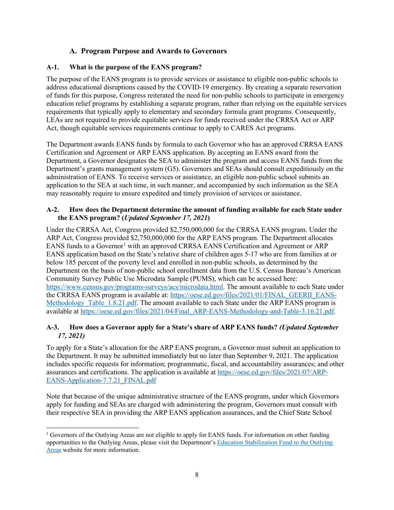# **A. Program Purpose and Awards to Governors**

#### **A-1. What is the purpose of the EANS program?**

The purpose of the EANS program is to provide services or assistance to eligible non-public schools to address educational disruptions caused by the COVID-19 emergency. By creating a separate reservation of funds for this purpose, Congress reiterated the need for non-public schools to participate in emergency education relief programs by establishing a separate program, rather than relying on the equitable services requirements that typically apply to elementary and secondary formula grant programs. Consequently, LEAs are not required to provide equitable services for funds received under the CRRSA Act or ARP Act, though equitable services requirements continue to apply to CARES Act programs.

The Department awards EANS funds by formula to each Governor who has an approved CRRSA EANS Certification and Agreement or ARP EANS application. By accepting an EANS award from the Department, a Governor designates the SEA to administer the program and access EANS funds from the Department's grants management system (G5). Governors and SEAs should consult expeditiously on the administration of EANS. To receive services or assistance, an eligible non-public school submits an application to the SEA at such time, in such manner, and accompanied by such information as the SEA may reasonably require to ensure expedited and timely provision of services or assistance.

#### **A-2. How does the Department determine the amount of funding available for each State under the EANS program? (***Updated September 17, 2021***)**

Under the CRRSA Act, Congress provided \$2,750,000,000 for the CRRSA EANS program. Under the ARP Act, Congress provided \$2,750,000,000 for the ARP EANS program. The Department allocates EANS funds to a Governor<sup>1</sup> with an approved CRRSA EANS Certification and Agreement or ARP EANS application based on the State's relative share of children ages 5-17 who are from families at or below 185 percent of the poverty level and enrolled in non-public schools, as determined by the Department on the basis of non-public school enrollment data from the U.S. Census Bureau's American Community Survey Public Use Microdata Sample (PUMS), which can be accessed here: https://www.census.gov/programs-surveys/acs/microdata.html. The amount available to each State under the CRRSA EANS program is available at: https://oese.ed.gov/files/2021/01/FINAL GEERII\_EANS-Methodology\_Table\_1.8.21.pdf. The amount available to each State under the ARP EANS program is available at https://oese.ed.gov/files/2021/04/Final\_ARP-EANS-Methodology-and-Table-3.16.21.pdf.

#### **A-3. How does a Governor apply for a State's share of ARP EANS funds?** *(Updated September 17, 2021)*

To apply for a State's allocation for the ARP EANS program, a Governor must submit an application to the Department. It may be submitted immediately but no later than September 9, 2021. The application includes specific requests for information; programmatic, fiscal, and accountability assurances; and other assurances and certifications. The application is available at https://oese.ed.gov/files/2021/07/ARP-EANS-Application-7.7.21\_FINAL.pdf

Note that because of the unique administrative structure of the EANS program, under which Governors apply for funding and SEAs are charged with administering the program, Governors must consult with their respective SEA in providing the ARP EANS application assurances, and the Chief State School

<sup>&</sup>lt;sup>1</sup> Governors of the Outlying Areas are not eligible to apply for EANS funds. For information on other funding opportunities to the Outlying Areas, please visit the Department's Education Stabilization Fund to the Outlying Areas website for more information.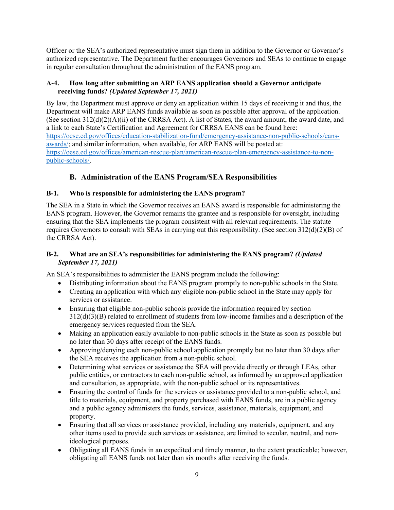Officer or the SEA's authorized representative must sign them in addition to the Governor or Governor's authorized representative. The Department further encourages Governors and SEAs to continue to engage in regular consultation throughout the administration of the EANS program.

#### **A-4. How long after submitting an ARP EANS application should a Governor anticipate receiving funds?** *(Updated September 17, 2021)*

By law, the Department must approve or deny an application within 15 days of receiving it and thus, the Department will make ARP EANS funds available as soon as possible after approval of the application. (See section 312(d)(2)(A)(ii) of the CRRSA Act). A list of States, the award amount, the award date, and a link to each State's Certification and Agreement for CRRSA EANS can be found here: https://oese.ed.gov/offices/education-stabilization-fund/emergency-assistance-non-public-schools/eansawards/; and similar information, when available, for ARP EANS will be posted at: https://oese.ed.gov/offices/american-rescue-plan/american-rescue-plan-emergency-assistance-to-nonpublic-schools/.

# **B. Administration of the EANS Program/SEA Responsibilities**

### **B-1. Who is responsible for administering the EANS program?**

The SEA in a State in which the Governor receives an EANS award is responsible for administering the EANS program. However, the Governor remains the grantee and is responsible for oversight, including ensuring that the SEA implements the program consistent with all relevant requirements. The statute requires Governors to consult with SEAs in carrying out this responsibility. (See section 312(d)(2)(B) of the CRRSA Act).

#### **B-2. What are an SEA's responsibilities for administering the EANS program?** *(Updated September 17, 2021)*

An SEA's responsibilities to administer the EANS program include the following:

- Distributing information about the EANS program promptly to non-public schools in the State.
- Creating an application with which any eligible non-public school in the State may apply for services or assistance.
- Ensuring that eligible non-public schools provide the information required by section 312(d)(3)(B) related to enrollment of students from low-income families and a description of the emergency services requested from the SEA.
- Making an application easily available to non-public schools in the State as soon as possible but no later than 30 days after receipt of the EANS funds.
- Approving/denying each non-public school application promptly but no later than 30 days after the SEA receives the application from a non-public school.
- Determining what services or assistance the SEA will provide directly or through LEAs, other public entities, or contractors to each non-public school, as informed by an approved application and consultation, as appropriate, with the non-public school or its representatives.
- Ensuring the control of funds for the services or assistance provided to a non-public school, and title to materials, equipment, and property purchased with EANS funds, are in a public agency and a public agency administers the funds, services, assistance, materials, equipment, and property.
- Ensuring that all services or assistance provided, including any materials, equipment, and any other items used to provide such services or assistance, are limited to secular, neutral, and nonideological purposes.
- Obligating all EANS funds in an expedited and timely manner, to the extent practicable; however, obligating all EANS funds not later than six months after receiving the funds.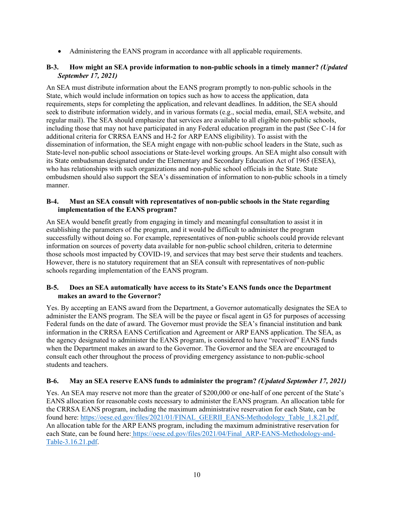• Administering the EANS program in accordance with all applicable requirements.

#### **B-3. How might an SEA provide information to non-public schools in a timely manner?** *(Updated September 17, 2021)*

An SEA must distribute information about the EANS program promptly to non-public schools in the State, which would include information on topics such as how to access the application, data requirements, steps for completing the application, and relevant deadlines. In addition, the SEA should seek to distribute information widely, and in various formats (e.g., social media, email, SEA website, and regular mail). The SEA should emphasize that services are available to all eligible non-public schools, including those that may not have participated in any Federal education program in the past (See C-14 for additional criteria for CRRSA EANS and H-2 for ARP EANS eligibility). To assist with the dissemination of information, the SEA might engage with non-public school leaders in the State, such as State-level non-public school associations or State-level working groups. An SEA might also consult with its State ombudsman designated under the Elementary and Secondary Education Act of 1965 (ESEA), who has relationships with such organizations and non-public school officials in the State. State ombudsmen should also support the SEA's dissemination of information to non-public schools in a timely manner.

#### **B-4. Must an SEA consult with representatives of non-public schools in the State regarding implementation of the EANS program?**

An SEA would benefit greatly from engaging in timely and meaningful consultation to assist it in establishing the parameters of the program, and it would be difficult to administer the program successfully without doing so. For example, representatives of non-public schools could provide relevant information on sources of poverty data available for non-public school children, criteria to determine those schools most impacted by COVID-19, and services that may best serve their students and teachers. However, there is no statutory requirement that an SEA consult with representatives of non-public schools regarding implementation of the EANS program.

#### **B-5. Does an SEA automatically have access to its State's EANS funds once the Department makes an award to the Governor?**

Yes. By accepting an EANS award from the Department, a Governor automatically designates the SEA to administer the EANS program. The SEA will be the payee or fiscal agent in G5 for purposes of accessing Federal funds on the date of award. The Governor must provide the SEA's financial institution and bank information in the CRRSA EANS Certification and Agreement or ARP EANS application. The SEA, as the agency designated to administer the EANS program, is considered to have "received" EANS funds when the Department makes an award to the Governor. The Governor and the SEA are encouraged to consult each other throughout the process of providing emergency assistance to non-public-school students and teachers.

#### **B-6. May an SEA reserve EANS funds to administer the program?** *(Updated September 17, 2021)*

Yes. An SEA may reserve not more than the greater of \$200,000 or one-half of one percent of the State's EANS allocation for reasonable costs necessary to administer the EANS program. An allocation table for the CRRSA EANS program, including the maximum administrative reservation for each State, can be found here: https://oese.ed.gov/files/2021/01/FINAL\_GEERII\_EANS-Methodology\_Table\_1.8.21.pdf. An allocation table for the ARP EANS program, including the maximum administrative reservation for each State, can be found here: https://oese.ed.gov/files/2021/04/Final\_ARP-EANS-Methodology-and-Table-3.16.21.pdf.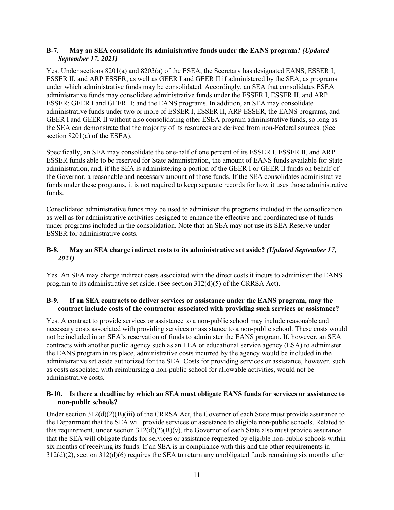#### **B-7. May an SEA consolidate its administrative funds under the EANS program?** *(Updated September 17, 2021)*

Yes. Under sections 8201(a) and 8203(a) of the ESEA, the Secretary has designated EANS, ESSER I, ESSER II, and ARP ESSER, as well as GEER I and GEER II if administered by the SEA, as programs under which administrative funds may be consolidated. Accordingly, an SEA that consolidates ESEA administrative funds may consolidate administrative funds under the ESSER I, ESSER II, and ARP ESSER; GEER I and GEER II; and the EANS programs. In addition, an SEA may consolidate administrative funds under two or more of ESSER I, ESSER II, ARP ESSER, the EANS programs, and GEER I and GEER II without also consolidating other ESEA program administrative funds, so long as the SEA can demonstrate that the majority of its resources are derived from non-Federal sources. (See section 8201(a) of the ESEA).

Specifically, an SEA may consolidate the one-half of one percent of its ESSER I, ESSER II, and ARP ESSER funds able to be reserved for State administration, the amount of EANS funds available for State administration, and, if the SEA is administering a portion of the GEER I or GEER II funds on behalf of the Governor, a reasonable and necessary amount of those funds. If the SEA consolidates administrative funds under these programs, it is not required to keep separate records for how it uses those administrative funds.

Consolidated administrative funds may be used to administer the programs included in the consolidation as well as for administrative activities designed to enhance the effective and coordinated use of funds under programs included in the consolidation. Note that an SEA may not use its SEA Reserve under ESSER for administrative costs.

#### **B-8. May an SEA charge indirect costs to its administrative set aside?** *(Updated September 17, 2021)*

Yes. An SEA may charge indirect costs associated with the direct costs it incurs to administer the EANS program to its administrative set aside. (See section 312(d)(5) of the CRRSA Act).

#### **B-9. If an SEA contracts to deliver services or assistance under the EANS program, may the contract include costs of the contractor associated with providing such services or assistance?**

Yes. A contract to provide services or assistance to a non-public school may include reasonable and necessary costs associated with providing services or assistance to a non-public school. These costs would not be included in an SEA's reservation of funds to administer the EANS program. If, however, an SEA contracts with another public agency such as an LEA or educational service agency (ESA) to administer the EANS program in its place, administrative costs incurred by the agency would be included in the administrative set aside authorized for the SEA. Costs for providing services or assistance, however, such as costs associated with reimbursing a non-public school for allowable activities, would not be administrative costs.

#### **B-10. Is there a deadline by which an SEA must obligate EANS funds for services or assistance to non-public schools?**

Under section 312(d)(2)(B)(iii) of the CRRSA Act, the Governor of each State must provide assurance to the Department that the SEA will provide services or assistance to eligible non-public schools. Related to this requirement, under section  $312(d)(2)(B)(v)$ , the Governor of each State also must provide assurance that the SEA will obligate funds for services or assistance requested by eligible non-public schools within six months of receiving its funds. If an SEA is in compliance with this and the other requirements in 312(d)(2), section 312(d)(6) requires the SEA to return any unobligated funds remaining six months after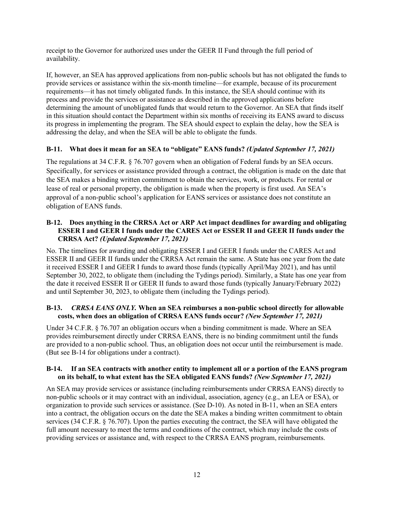receipt to the Governor for authorized uses under the GEER II Fund through the full period of availability.

If, however, an SEA has approved applications from non-public schools but has not obligated the funds to provide services or assistance within the six-month timeline—for example, because of its procurement requirements—it has not timely obligated funds. In this instance, the SEA should continue with its process and provide the services or assistance as described in the approved applications before determining the amount of unobligated funds that would return to the Governor. An SEA that finds itself in this situation should contact the Department within six months of receiving its EANS award to discuss its progress in implementing the program. The SEA should expect to explain the delay, how the SEA is addressing the delay, and when the SEA will be able to obligate the funds.

#### **B-11. What does it mean for an SEA to "obligate" EANS funds?** *(Updated September 17, 2021)*

The regulations at 34 C.F.R. § 76.707 govern when an obligation of Federal funds by an SEA occurs. Specifically, for services or assistance provided through a contract, the obligation is made on the date that the SEA makes a binding written commitment to obtain the services, work, or products. For rental or lease of real or personal property, the obligation is made when the property is first used. An SEA's approval of a non-public school's application for EANS services or assistance does not constitute an obligation of EANS funds.

#### **B-12. Does anything in the CRRSA Act or ARP Act impact deadlines for awarding and obligating ESSER I and GEER I funds under the CARES Act or ESSER II and GEER II funds under the CRRSA Act?** *(Updated September 17, 2021)*

No. The timelines for awarding and obligating ESSER I and GEER I funds under the CARES Act and ESSER II and GEER II funds under the CRRSA Act remain the same. A State has one year from the date it received ESSER I and GEER I funds to award those funds (typically April/May 2021), and has until September 30, 2022, to obligate them (including the Tydings period). Similarly, a State has one year from the date it received ESSER II or GEER II funds to award those funds (typically January/February 2022) and until September 30, 2023, to obligate them (including the Tydings period).

#### **B-13.** *CRRSA EANS ONLY.* **When an SEA reimburses a non-public school directly for allowable costs, when does an obligation of CRRSA EANS funds occur?** *(New September 17, 2021)*

Under 34 C.F.R. § 76.707 an obligation occurs when a binding commitment is made. Where an SEA provides reimbursement directly under CRRSA EANS, there is no binding commitment until the funds are provided to a non-public school. Thus, an obligation does not occur until the reimbursement is made. (But see B-14 for obligations under a contract).

#### **B-14. If an SEA contracts with another entity to implement all or a portion of the EANS program on its behalf, to what extent has the SEA obligated EANS funds?** *(New September 17, 2021)*

An SEA may provide services or assistance (including reimbursements under CRRSA EANS) directly to non-public schools or it may contract with an individual, association, agency (e.g., an LEA or ESA), or organization to provide such services or assistance. (See D-10). As noted in B-11, when an SEA enters into a contract, the obligation occurs on the date the SEA makes a binding written commitment to obtain services (34 C.F.R. § 76.707). Upon the parties executing the contract, the SEA will have obligated the full amount necessary to meet the terms and conditions of the contract, which may include the costs of providing services or assistance and, with respect to the CRRSA EANS program, reimbursements.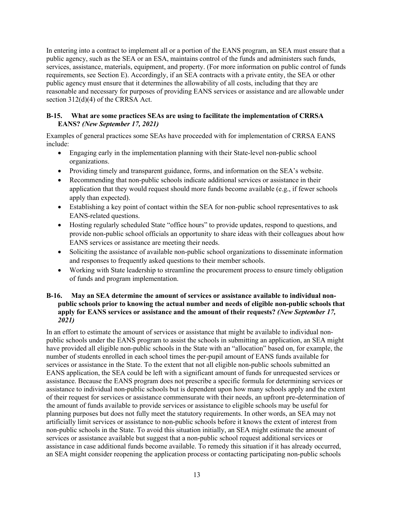In entering into a contract to implement all or a portion of the EANS program, an SEA must ensure that a public agency, such as the SEA or an ESA, maintains control of the funds and administers such funds, services, assistance, materials, equipment, and property. (For more information on public control of funds requirements, see Section E). Accordingly, if an SEA contracts with a private entity, the SEA or other public agency must ensure that it determines the allowability of all costs, including that they are reasonable and necessary for purposes of providing EANS services or assistance and are allowable under section 312(d)(4) of the CRRSA Act.

#### **B-15. What are some practices SEAs are using to facilitate the implementation of CRRSA EANS?** *(New September 17, 2021)*

Examples of general practices some SEAs have proceeded with for implementation of CRRSA EANS include:

- Engaging early in the implementation planning with their State-level non-public school organizations.
- Providing timely and transparent guidance, forms, and information on the SEA's website.
- Recommending that non-public schools indicate additional services or assistance in their application that they would request should more funds become available (e.g., if fewer schools apply than expected).
- Establishing a key point of contact within the SEA for non-public school representatives to ask EANS-related questions.
- Hosting regularly scheduled State "office hours" to provide updates, respond to questions, and provide non-public school officials an opportunity to share ideas with their colleagues about how EANS services or assistance are meeting their needs.
- Soliciting the assistance of available non-public school organizations to disseminate information and responses to frequently asked questions to their member schools.
- Working with State leadership to streamline the procurement process to ensure timely obligation of funds and program implementation.

#### **B-16. May an SEA determine the amount of services or assistance available to individual nonpublic schools prior to knowing the actual number and needs of eligible non-public schools that apply for EANS services or assistance and the amount of their requests?** *(New September 17, 2021)*

In an effort to estimate the amount of services or assistance that might be available to individual nonpublic schools under the EANS program to assist the schools in submitting an application, an SEA might have provided all eligible non-public schools in the State with an "allocation" based on, for example, the number of students enrolled in each school times the per-pupil amount of EANS funds available for services or assistance in the State. To the extent that not all eligible non-public schools submitted an EANS application, the SEA could be left with a significant amount of funds for unrequested services or assistance. Because the EANS program does not prescribe a specific formula for determining services or assistance to individual non-public schools but is dependent upon how many schools apply and the extent of their request for services or assistance commensurate with their needs, an upfront pre-determination of the amount of funds available to provide services or assistance to eligible schools may be useful for planning purposes but does not fully meet the statutory requirements. In other words, an SEA may not artificially limit services or assistance to non-public schools before it knows the extent of interest from non-public schools in the State. To avoid this situation initially, an SEA might estimate the amount of services or assistance available but suggest that a non-public school request additional services or assistance in case additional funds become available. To remedy this situation if it has already occurred, an SEA might consider reopening the application process or contacting participating non-public schools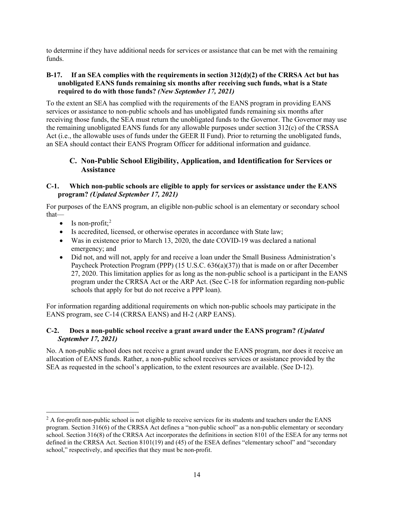to determine if they have additional needs for services or assistance that can be met with the remaining funds.

#### **B-17. If an SEA complies with the requirements in section 312(d)(2) of the CRRSA Act but has unobligated EANS funds remaining six months after receiving such funds, what is a State required to do with those funds?** *(New September 17, 2021)*

To the extent an SEA has complied with the requirements of the EANS program in providing EANS services or assistance to non-public schools and has unobligated funds remaining six months after receiving those funds, the SEA must return the unobligated funds to the Governor. The Governor may use the remaining unobligated EANS funds for any allowable purposes under section 312(c) of the CRSSA Act (i.e., the allowable uses of funds under the GEER II Fund). Prior to returning the unobligated funds, an SEA should contact their EANS Program Officer for additional information and guidance.

### **C. Non-Public School Eligibility, Application, and Identification for Services or Assistance**

#### **C-1. Which non-public schools are eligible to apply for services or assistance under the EANS program?** *(Updated September 17, 2021)*

For purposes of the EANS program, an eligible non-public school is an elementary or secondary school that—

- Is non-profit;<sup>2</sup>
- Is accredited, licensed, or otherwise operates in accordance with State law;
- Was in existence prior to March 13, 2020, the date COVID-19 was declared a national emergency; and
- Did not, and will not, apply for and receive a loan under the Small Business Administration's Paycheck Protection Program (PPP) (15 U.S.C. 636(a)(37)) that is made on or after December 27, 2020. This limitation applies for as long as the non-public school is a participant in the EANS program under the CRRSA Act or the ARP Act. (See C-18 for information regarding non-public schools that apply for but do not receive a PPP loan).

For information regarding additional requirements on which non-public schools may participate in the EANS program, see C-14 (CRRSA EANS) and H-2 (ARP EANS).

#### **C-2. Does a non-public school receive a grant award under the EANS program?** *(Updated September 17, 2021)*

No. A non-public school does not receive a grant award under the EANS program, nor does it receive an allocation of EANS funds. Rather, a non-public school receives services or assistance provided by the SEA as requested in the school's application, to the extent resources are available. (See D-12).

 $<sup>2</sup>$  A for-profit non-public school is not eligible to receive services for its students and teachers under the EANS</sup> program. Section 316(6) of the CRRSA Act defines a "non-public school" as a non-public elementary or secondary school. Section 316(8) of the CRRSA Act incorporates the definitions in section 8101 of the ESEA for any terms not defined in the CRRSA Act. Section 8101(19) and (45) of the ESEA defines "elementary school" and "secondary school," respectively, and specifies that they must be non-profit.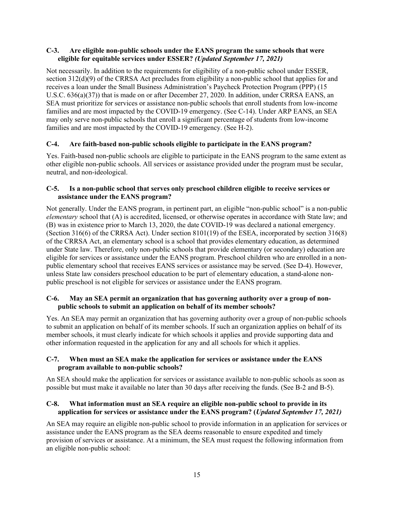#### **C-3. Are eligible non-public schools under the EANS program the same schools that were eligible for equitable services under ESSER?** *(Updated September 17, 2021)*

Not necessarily. In addition to the requirements for eligibility of a non-public school under ESSER, section 312(d)(9) of the CRRSA Act precludes from eligibility a non-public school that applies for and receives a loan under the Small Business Administration's Paycheck Protection Program (PPP) (15 U.S.C. 636(a)(37)) that is made on or after December 27, 2020. In addition, under CRRSA EANS, an SEA must prioritize for services or assistance non-public schools that enroll students from low-income families and are most impacted by the COVID-19 emergency. (See C-14). Under ARP EANS, an SEA may only serve non-public schools that enroll a significant percentage of students from low-income families and are most impacted by the COVID-19 emergency. (See H-2).

#### **C-4. Are faith-based non-public schools eligible to participate in the EANS program?**

Yes. Faith-based non-public schools are eligible to participate in the EANS program to the same extent as other eligible non-public schools. All services or assistance provided under the program must be secular, neutral, and non-ideological.

#### **C-5. Is a non-public school that serves only preschool children eligible to receive services or assistance under the EANS program?**

Not generally. Under the EANS program, in pertinent part, an eligible "non-public school" is a non-public *elementary* school that (A) is accredited, licensed, or otherwise operates in accordance with State law; and (B) was in existence prior to March 13, 2020, the date COVID-19 was declared a national emergency. (Section 316(6) of the CRRSA Act). Under section 8101(19) of the ESEA, incorporated by section 316(8) of the CRRSA Act, an elementary school is a school that provides elementary education, as determined under State law. Therefore, only non-public schools that provide elementary (or secondary) education are eligible for services or assistance under the EANS program. Preschool children who are enrolled in a nonpublic elementary school that receives EANS services or assistance may be served. (See D-4). However, unless State law considers preschool education to be part of elementary education, a stand-alone nonpublic preschool is not eligible for services or assistance under the EANS program.

#### **C-6. May an SEA permit an organization that has governing authority over a group of nonpublic schools to submit an application on behalf of its member schools?**

Yes. An SEA may permit an organization that has governing authority over a group of non-public schools to submit an application on behalf of its member schools. If such an organization applies on behalf of its member schools, it must clearly indicate for which schools it applies and provide supporting data and other information requested in the application for any and all schools for which it applies.

#### **C-7. When must an SEA make the application for services or assistance under the EANS program available to non-public schools?**

An SEA should make the application for services or assistance available to non-public schools as soon as possible but must make it available no later than 30 days after receiving the funds. (See B-2 and B-5).

#### **C-8. What information must an SEA require an eligible non-public school to provide in its application for services or assistance under the EANS program? (***Updated September 17, 2021)*

An SEA may require an eligible non-public school to provide information in an application for services or assistance under the EANS program as the SEA deems reasonable to ensure expedited and timely provision of services or assistance. At a minimum, the SEA must request the following information from an eligible non-public school: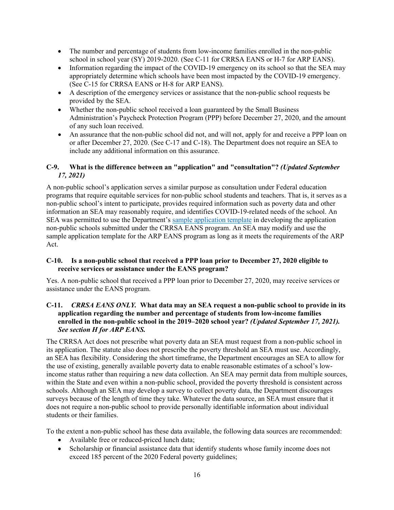- The number and percentage of students from low-income families enrolled in the non-public school in school year (SY) 2019-2020. (See C-11 for CRRSA EANS or H-7 for ARP EANS).
- Information regarding the impact of the COVID-19 emergency on its school so that the SEA may appropriately determine which schools have been most impacted by the COVID-19 emergency. (See C-15 for CRRSA EANS or H-8 for ARP EANS).
- A description of the emergency services or assistance that the non-public school requests be provided by the SEA.
- Whether the non-public school received a loan guaranteed by the Small Business Administration's Paycheck Protection Program (PPP) before December 27, 2020, and the amount of any such loan received.
- An assurance that the non-public school did not, and will not, apply for and receive a PPP loan on or after December 27, 2020. (See C-17 and C-18). The Department does not require an SEA to include any additional information on this assurance.

#### **C-9. What is the difference between an "application" and "consultation"?** *(Updated September 17, 2021)*

A non-public school's application serves a similar purpose as consultation under Federal education programs that require equitable services for non-public school students and teachers. That is, it serves as a non-public school's intent to participate, provides required information such as poverty data and other information an SEA may reasonably require, and identifies COVID-19-related needs of the school. An SEA was permitted to use the Department's sample application template in developing the application non-public schools submitted under the CRRSA EANS program. An SEA may modify and use the sample application template for the ARP EANS program as long as it meets the requirements of the ARP Act.

#### **C-10. Is a non-public school that received a PPP loan prior to December 27, 2020 eligible to receive services or assistance under the EANS program?**

Yes. A non-public school that received a PPP loan prior to December 27, 2020, may receive services or assistance under the EANS program.

#### **C-11.** *CRRSA EANS ONLY.* **What data may an SEA request a non-public school to provide in its application regarding the number and percentage of students from low-income families enrolled in the non-public school in the 2019–2020 school year?** *(Updated September 17, 2021). See section H for ARP EANS.*

The CRRSA Act does not prescribe what poverty data an SEA must request from a non-public school in its application. The statute also does not prescribe the poverty threshold an SEA must use. Accordingly, an SEA has flexibility. Considering the short timeframe, the Department encourages an SEA to allow for the use of existing, generally available poverty data to enable reasonable estimates of a school's lowincome status rather than requiring a new data collection. An SEA may permit data from multiple sources, within the State and even within a non-public school, provided the poverty threshold is consistent across schools. Although an SEA may develop a survey to collect poverty data, the Department discourages surveys because of the length of time they take. Whatever the data source, an SEA must ensure that it does not require a non-public school to provide personally identifiable information about individual students or their families.

To the extent a non-public school has these data available, the following data sources are recommended:

- Available free or reduced-priced lunch data;
- Scholarship or financial assistance data that identify students whose family income does not exceed 185 percent of the 2020 Federal poverty guidelines;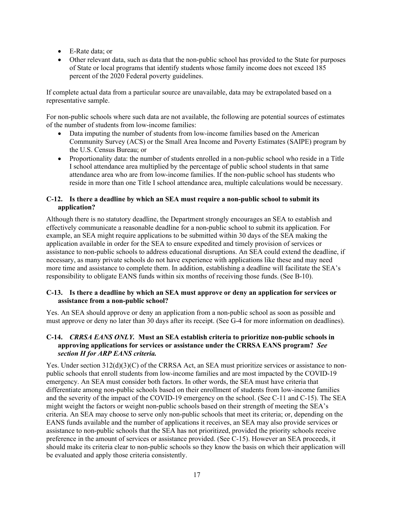- E-Rate data; or
- Other relevant data, such as data that the non-public school has provided to the State for purposes of State or local programs that identify students whose family income does not exceed 185 percent of the 2020 Federal poverty guidelines.

If complete actual data from a particular source are unavailable, data may be extrapolated based on a representative sample.

For non-public schools where such data are not available, the following are potential sources of estimates of the number of students from low-income families:

- Data imputing the number of students from low-income families based on the American Community Survey (ACS) or the Small Area Income and Poverty Estimates (SAIPE) program by the U.S. Census Bureau; or
- Proportionality data: the number of students enrolled in a non-public school who reside in a Title I school attendance area multiplied by the percentage of public school students in that same attendance area who are from low-income families. If the non-public school has students who reside in more than one Title I school attendance area, multiple calculations would be necessary.

#### **C-12. Is there a deadline by which an SEA must require a non-public school to submit its application?**

Although there is no statutory deadline, the Department strongly encourages an SEA to establish and effectively communicate a reasonable deadline for a non-public school to submit its application. For example, an SEA might require applications to be submitted within 30 days of the SEA making the application available in order for the SEA to ensure expedited and timely provision of services or assistance to non-public schools to address educational disruptions. An SEA could extend the deadline, if necessary, as many private schools do not have experience with applications like these and may need more time and assistance to complete them. In addition, establishing a deadline will facilitate the SEA's responsibility to obligate EANS funds within six months of receiving those funds. (See B-10).

#### **C-13. Is there a deadline by which an SEA must approve or deny an application for services or assistance from a non-public school?**

Yes. An SEA should approve or deny an application from a non-public school as soon as possible and must approve or deny no later than 30 days after its receipt. (See G-4 for more information on deadlines).

#### **C-14.** *CRRSA EANS ONLY.* **Must an SEA establish criteria to prioritize non-public schools in approving applications for services or assistance under the CRRSA EANS program?** *See section H for ARP EANS criteria.*

Yes. Under section  $312(d)(3)(C)$  of the CRRSA Act, an SEA must prioritize services or assistance to nonpublic schools that enroll students from low-income families and are most impacted by the COVID-19 emergency. An SEA must consider both factors. In other words, the SEA must have criteria that differentiate among non-public schools based on their enrollment of students from low-income families and the severity of the impact of the COVID-19 emergency on the school. (See C-11 and C-15). The SEA might weight the factors or weight non-public schools based on their strength of meeting the SEA's criteria. An SEA may choose to serve only non-public schools that meet its criteria; or, depending on the EANS funds available and the number of applications it receives, an SEA may also provide services or assistance to non-public schools that the SEA has not prioritized, provided the priority schools receive preference in the amount of services or assistance provided. (See C-15). However an SEA proceeds, it should make its criteria clear to non-public schools so they know the basis on which their application will be evaluated and apply those criteria consistently.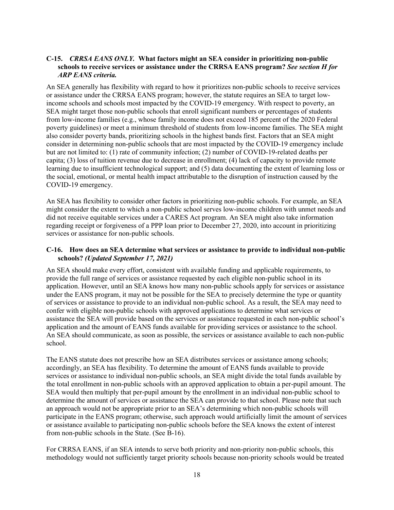#### **C-15.** *CRRSA EANS ONLY.* **What factors might an SEA consider in prioritizing non-public schools to receive services or assistance under the CRRSA EANS program?** *See section H for ARP EANS criteria.*

An SEA generally has flexibility with regard to how it prioritizes non-public schools to receive services or assistance under the CRRSA EANS program; however, the statute requires an SEA to target lowincome schools and schools most impacted by the COVID-19 emergency. With respect to poverty, an SEA might target those non-public schools that enroll significant numbers or percentages of students from low-income families (e.g., whose family income does not exceed 185 percent of the 2020 Federal poverty guidelines) or meet a minimum threshold of students from low-income families. The SEA might also consider poverty bands, prioritizing schools in the highest bands first. Factors that an SEA might consider in determining non-public schools that are most impacted by the COVID-19 emergency include but are not limited to: (1) rate of community infection; (2) number of COVID-19-related deaths per capita; (3) loss of tuition revenue due to decrease in enrollment; (4) lack of capacity to provide remote learning due to insufficient technological support; and (5) data documenting the extent of learning loss or the social, emotional, or mental health impact attributable to the disruption of instruction caused by the COVID-19 emergency.

An SEA has flexibility to consider other factors in prioritizing non-public schools. For example, an SEA might consider the extent to which a non-public school serves low-income children with unmet needs and did not receive equitable services under a CARES Act program. An SEA might also take information regarding receipt or forgiveness of a PPP loan prior to December 27, 2020, into account in prioritizing services or assistance for non-public schools.

#### **C-16. How does an SEA determine what services or assistance to provide to individual non-public schools?** *(Updated September 17, 2021)*

An SEA should make every effort, consistent with available funding and applicable requirements, to provide the full range of services or assistance requested by each eligible non-public school in its application. However, until an SEA knows how many non-public schools apply for services or assistance under the EANS program, it may not be possible for the SEA to precisely determine the type or quantity of services or assistance to provide to an individual non-public school. As a result, the SEA may need to confer with eligible non-public schools with approved applications to determine what services or assistance the SEA will provide based on the services or assistance requested in each non-public school's application and the amount of EANS funds available for providing services or assistance to the school. An SEA should communicate, as soon as possible, the services or assistance available to each non-public school.

The EANS statute does not prescribe how an SEA distributes services or assistance among schools; accordingly, an SEA has flexibility. To determine the amount of EANS funds available to provide services or assistance to individual non-public schools, an SEA might divide the total funds available by the total enrollment in non-public schools with an approved application to obtain a per-pupil amount. The SEA would then multiply that per-pupil amount by the enrollment in an individual non-public school to determine the amount of services or assistance the SEA can provide to that school. Please note that such an approach would not be appropriate prior to an SEA's determining which non-public schools will participate in the EANS program; otherwise, such approach would artificially limit the amount of services or assistance available to participating non-public schools before the SEA knows the extent of interest from non-public schools in the State. (See B-16).

For CRRSA EANS, if an SEA intends to serve both priority and non-priority non-public schools, this methodology would not sufficiently target priority schools because non-priority schools would be treated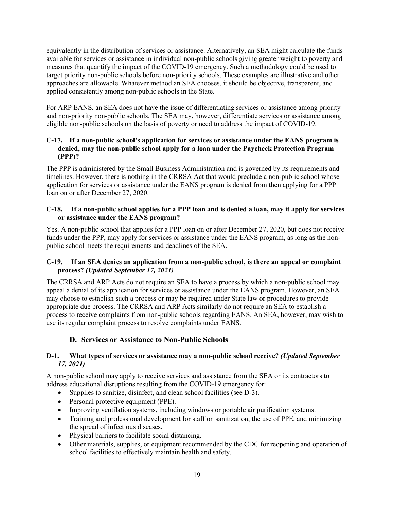equivalently in the distribution of services or assistance. Alternatively, an SEA might calculate the funds available for services or assistance in individual non-public schools giving greater weight to poverty and measures that quantify the impact of the COVID-19 emergency. Such a methodology could be used to target priority non-public schools before non-priority schools. These examples are illustrative and other approaches are allowable. Whatever method an SEA chooses, it should be objective, transparent, and applied consistently among non-public schools in the State.

For ARP EANS, an SEA does not have the issue of differentiating services or assistance among priority and non-priority non-public schools. The SEA may, however, differentiate services or assistance among eligible non-public schools on the basis of poverty or need to address the impact of COVID-19.

#### **C-17. If a non-public school's application for services or assistance under the EANS program is denied, may the non-public school apply for a loan under the Paycheck Protection Program (PPP)?**

The PPP is administered by the Small Business Administration and is governed by its requirements and timelines. However, there is nothing in the CRRSA Act that would preclude a non-public school whose application for services or assistance under the EANS program is denied from then applying for a PPP loan on or after December 27, 2020.

#### **C-18. If a non-public school applies for a PPP loan and is denied a loan, may it apply for services or assistance under the EANS program?**

Yes. A non-public school that applies for a PPP loan on or after December 27, 2020, but does not receive funds under the PPP, may apply for services or assistance under the EANS program, as long as the nonpublic school meets the requirements and deadlines of the SEA.

#### **C-19. If an SEA denies an application from a non-public school, is there an appeal or complaint process?** *(Updated September 17, 2021)*

The CRRSA and ARP Acts do not require an SEA to have a process by which a non-public school may appeal a denial of its application for services or assistance under the EANS program. However, an SEA may choose to establish such a process or may be required under State law or procedures to provide appropriate due process. The CRRSA and ARP Acts similarly do not require an SEA to establish a process to receive complaints from non-public schools regarding EANS. An SEA, however, may wish to use its regular complaint process to resolve complaints under EANS.

# **D. Services or Assistance to Non-Public Schools**

#### **D-1. What types of services or assistance may a non-public school receive?** *(Updated September 17, 2021)*

A non-public school may apply to receive services and assistance from the SEA or its contractors to address educational disruptions resulting from the COVID-19 emergency for:

- Supplies to sanitize, disinfect, and clean school facilities (see D-3).
- Personal protective equipment (PPE).
- Improving ventilation systems, including windows or portable air purification systems.
- Training and professional development for staff on sanitization, the use of PPE, and minimizing the spread of infectious diseases.
- Physical barriers to facilitate social distancing.
- Other materials, supplies, or equipment recommended by the CDC for reopening and operation of school facilities to effectively maintain health and safety.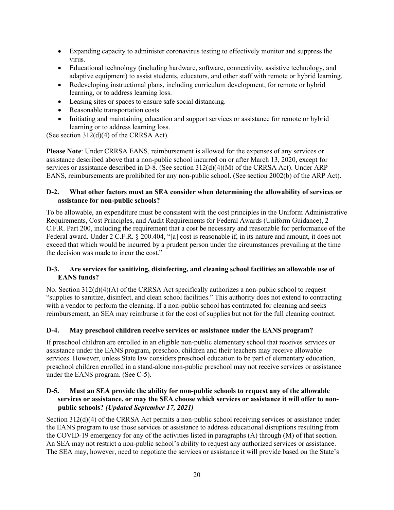- Expanding capacity to administer coronavirus testing to effectively monitor and suppress the virus.
- Educational technology (including hardware, software, connectivity, assistive technology, and adaptive equipment) to assist students, educators, and other staff with remote or hybrid learning.
- Redeveloping instructional plans, including curriculum development, for remote or hybrid learning, or to address learning loss.
- Leasing sites or spaces to ensure safe social distancing.
- Reasonable transportation costs.
- Initiating and maintaining education and support services or assistance for remote or hybrid learning or to address learning loss.

(See section 312(d)(4) of the CRRSA Act).

**Please Note**: Under CRRSA EANS, reimbursement is allowed for the expenses of any services or assistance described above that a non-public school incurred on or after March 13, 2020, except for services or assistance described in D-8. (See section 312(d)(4)(M) of the CRRSA Act). Under ARP EANS, reimbursements are prohibited for any non-public school. (See section 2002(b) of the ARP Act).

#### **D-2. What other factors must an SEA consider when determining the allowability of services or assistance for non-public schools?**

To be allowable, an expenditure must be consistent with the cost principles in the Uniform Administrative Requirements, Cost Principles, and Audit Requirements for Federal Awards (Uniform Guidance), 2 C.F.R. Part 200, including the requirement that a cost be necessary and reasonable for performance of the Federal award. Under 2 C.F.R. § 200.404, "[a] cost is reasonable if, in its nature and amount, it does not exceed that which would be incurred by a prudent person under the circumstances prevailing at the time the decision was made to incur the cost."

#### **D-3. Are services for sanitizing, disinfecting, and cleaning school facilities an allowable use of EANS funds?**

No. Section 312(d)(4)(A) of the CRRSA Act specifically authorizes a non-public school to request "supplies to sanitize, disinfect, and clean school facilities." This authority does not extend to contracting with a vendor to perform the cleaning. If a non-public school has contracted for cleaning and seeks reimbursement, an SEA may reimburse it for the cost of supplies but not for the full cleaning contract.

#### **D-4. May preschool children receive services or assistance under the EANS program?**

If preschool children are enrolled in an eligible non-public elementary school that receives services or assistance under the EANS program, preschool children and their teachers may receive allowable services. However, unless State law considers preschool education to be part of elementary education, preschool children enrolled in a stand-alone non-public preschool may not receive services or assistance under the EANS program. (See C-5).

#### **D-5. Must an SEA provide the ability for non-public schools to request any of the allowable services or assistance, or may the SEA choose which services or assistance it will offer to nonpublic schools?** *(Updated September 17, 2021)*

Section 312(d)(4) of the CRRSA Act permits a non-public school receiving services or assistance under the EANS program to use those services or assistance to address educational disruptions resulting from the COVID-19 emergency for any of the activities listed in paragraphs (A) through (M) of that section. An SEA may not restrict a non-public school's ability to request any authorized services or assistance. The SEA may, however, need to negotiate the services or assistance it will provide based on the State's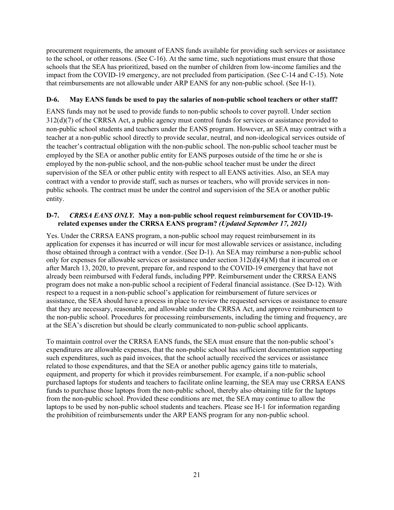procurement requirements, the amount of EANS funds available for providing such services or assistance to the school, or other reasons. (See C-16). At the same time, such negotiations must ensure that those schools that the SEA has prioritized, based on the number of children from low-income families and the impact from the COVID-19 emergency, are not precluded from participation. (See C-14 and C-15). Note that reimbursements are not allowable under ARP EANS for any non-public school. (See H-1).

#### **D-6. May EANS funds be used to pay the salaries of non-public school teachers or other staff?**

EANS funds may not be used to provide funds to non-public schools to cover payroll. Under section 312(d)(7) of the CRRSA Act, a public agency must control funds for services or assistance provided to non-public school students and teachers under the EANS program. However, an SEA may contract with a teacher at a non-public school directly to provide secular, neutral, and non-ideological services outside of the teacher's contractual obligation with the non-public school. The non-public school teacher must be employed by the SEA or another public entity for EANS purposes outside of the time he or she is employed by the non-public school, and the non-public school teacher must be under the direct supervision of the SEA or other public entity with respect to all EANS activities. Also, an SEA may contract with a vendor to provide staff, such as nurses or teachers, who will provide services in nonpublic schools. The contract must be under the control and supervision of the SEA or another public entity.

#### **D-7.** *CRRSA EANS ONLY.* **May a non-public school request reimbursement for COVID-19 related expenses under the CRRSA EANS program?** *(Updated September 17, 2021)*

Yes. Under the CRRSA EANS program, a non-public school may request reimbursement in its application for expenses it has incurred or will incur for most allowable services or assistance, including those obtained through a contract with a vendor. (See D-1). An SEA may reimburse a non-public school only for expenses for allowable services or assistance under section 312(d)(4)(M) that it incurred on or after March 13, 2020, to prevent, prepare for, and respond to the COVID-19 emergency that have not already been reimbursed with Federal funds, including PPP. Reimbursement under the CRRSA EANS program does not make a non-public school a recipient of Federal financial assistance. (See D-12). With respect to a request in a non-public school's application for reimbursement of future services or assistance, the SEA should have a process in place to review the requested services or assistance to ensure that they are necessary, reasonable, and allowable under the CRRSA Act, and approve reimbursement to the non-public school. Procedures for processing reimbursements, including the timing and frequency, are at the SEA's discretion but should be clearly communicated to non-public school applicants.

To maintain control over the CRRSA EANS funds, the SEA must ensure that the non-public school's expenditures are allowable expenses, that the non-public school has sufficient documentation supporting such expenditures, such as paid invoices, that the school actually received the services or assistance related to those expenditures, and that the SEA or another public agency gains title to materials, equipment, and property for which it provides reimbursement. For example, if a non-public school purchased laptops for students and teachers to facilitate online learning, the SEA may use CRRSA EANS funds to purchase those laptops from the non-public school, thereby also obtaining title for the laptops from the non-public school. Provided these conditions are met, the SEA may continue to allow the laptops to be used by non-public school students and teachers. Please see H-1 for information regarding the prohibition of reimbursements under the ARP EANS program for any non-public school.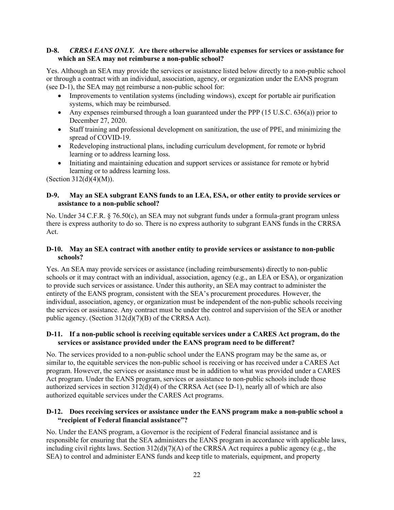#### **D-8.** *CRRSA EANS ONLY.* **Are there otherwise allowable expenses for services or assistance for which an SEA may not reimburse a non-public school?**

Yes. Although an SEA may provide the services or assistance listed below directly to a non-public school or through a contract with an individual, association, agency, or organization under the EANS program (see D-1), the SEA may not reimburse a non-public school for:

- Improvements to ventilation systems (including windows), except for portable air purification systems, which may be reimbursed.
- Any expenses reimbursed through a loan guaranteed under the PPP  $(15 \text{ U.S.C. } 636(a))$  prior to December 27, 2020.
- Staff training and professional development on sanitization, the use of PPE, and minimizing the spread of COVID-19.
- Redeveloping instructional plans, including curriculum development, for remote or hybrid learning or to address learning loss.
- Initiating and maintaining education and support services or assistance for remote or hybrid learning or to address learning loss.

(Section 312(d)(4)(M)).

#### **D-9. May an SEA subgrant EANS funds to an LEA, ESA, or other entity to provide services or assistance to a non-public school?**

No. Under 34 C.F.R. § 76.50(c), an SEA may not subgrant funds under a formula-grant program unless there is express authority to do so. There is no express authority to subgrant EANS funds in the CRRSA Act.

#### **D-10. May an SEA contract with another entity to provide services or assistance to non-public schools?**

Yes. An SEA may provide services or assistance (including reimbursements) directly to non-public schools or it may contract with an individual, association, agency (e.g., an LEA or ESA), or organization to provide such services or assistance. Under this authority, an SEA may contract to administer the entirety of the EANS program, consistent with the SEA's procurement procedures*.* However, the individual, association, agency, or organization must be independent of the non-public schools receiving the services or assistance. Any contract must be under the control and supervision of the SEA or another public agency. (Section 312(d)(7)(B) of the CRRSA Act).

#### **D-11. If a non-public school is receiving equitable services under a CARES Act program, do the services or assistance provided under the EANS program need to be different?**

No. The services provided to a non-public school under the EANS program may be the same as, or similar to, the equitable services the non-public school is receiving or has received under a CARES Act program. However, the services or assistance must be in addition to what was provided under a CARES Act program. Under the EANS program, services or assistance to non-public schools include those authorized services in section 312(d)(4) of the CRRSA Act (see D-1), nearly all of which are also authorized equitable services under the CARES Act programs.

#### **D-12. Does receiving services or assistance under the EANS program make a non-public school a "recipient of Federal financial assistance"?**

No. Under the EANS program, a Governor is the recipient of Federal financial assistance and is responsible for ensuring that the SEA administers the EANS program in accordance with applicable laws, including civil rights laws. Section 312(d)(7)(A) of the CRRSA Act requires a public agency (e.g., the SEA) to control and administer EANS funds and keep title to materials, equipment, and property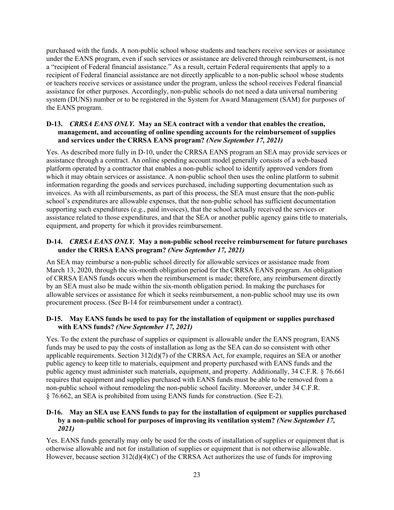purchased with the funds. A non-public school whose students and teachers receive services or assistance under the EANS program, even if such services or assistance are delivered through reimbursement, is not a "recipient of Federal financial assistance." As a result, certain Federal requirements that apply to a recipient of Federal financial assistance are not directly applicable to a non-public school whose students or teachers receive services or assistance under the program, unless the school receives Federal financial assistance for other purposes. Accordingly, non-public schools do not need a data universal numbering system (DUNS) number or to be registered in the System for Award Management (SAM) for purposes of the EANS program.

#### **D-13.** *CRRSA EANS ONLY.* **May an SEA contract with a vendor that enables the creation, management, and accounting of online spending accounts for the reimbursement of supplies and services under the CRRSA EANS program?** *(New September 17, 2021)*

Yes. As described more fully in D-10, under the CRRSA EANS program an SEA may provide services or assistance through a contract. An online spending account model generally consists of a web-based platform operated by a contractor that enables a non-public school to identify approved vendors from which it may obtain services or assistance. A non-public school then uses the online platform to submit information regarding the goods and services purchased, including supporting documentation such as invoices. As with all reimbursements, as part of this process, the SEA must ensure that the non-public school's expenditures are allowable expenses, that the non-public school has sufficient documentation supporting such expenditures (e.g., paid invoices), that the school actually received the services or assistance related to those expenditures, and that the SEA or another public agency gains title to materials, equipment, and property for which it provides reimbursement.

#### **D-14.** *CRRSA EANS ONLY.* **May a non-public school receive reimbursement for future purchases under the CRRSA EANS program?** *(New September 17, 2021)*

An SEA may reimburse a non-public school directly for allowable services or assistance made from March 13, 2020, through the six-month obligation period for the CRRSA EANS program. An obligation of CRRSA EANS funds occurs when the reimbursement is made; therefore, any reimbursement directly by an SEA must also be made within the six-month obligation period. In making the purchases for allowable services or assistance for which it seeks reimbursement, a non-public school may use its own procurement process. (See B-14 for reimbursement under a contract).

#### **D-15. May EANS funds be used to pay for the installation of equipment or supplies purchased with EANS funds?** *(New September 17, 2021)*

Yes. To the extent the purchase of supplies or equipment is allowable under the EANS program, EANS funds may be used to pay the costs of installation as long as the SEA can do so consistent with other applicable requirements. Section  $312(d)(7)$  of the CRRSA Act, for example, requires an SEA or another public agency to keep title to materials, equipment and property purchased with EANS funds and the public agency must administer such materials, equipment, and property. Additionally, 34 C.F.R. § 76.661 requires that equipment and supplies purchased with EANS funds must be able to be removed from a non-public school without remodeling the non-public school facility. Moreover, under 34 C.F.R. § 76.662, an SEA is prohibited from using EANS funds for construction. (See E-2).

#### **D-16. May an SEA use EANS funds to pay for the installation of equipment or supplies purchased by a non-public school for purposes of improving its ventilation system?** *(New September 17, 2021)*

Yes. EANS funds generally may only be used for the costs of installation of supplies or equipment that is otherwise allowable and not for installation of supplies or equipment that is not otherwise allowable. However, because section 312(d)(4)(C) of the CRRSA Act authorizes the use of funds for improving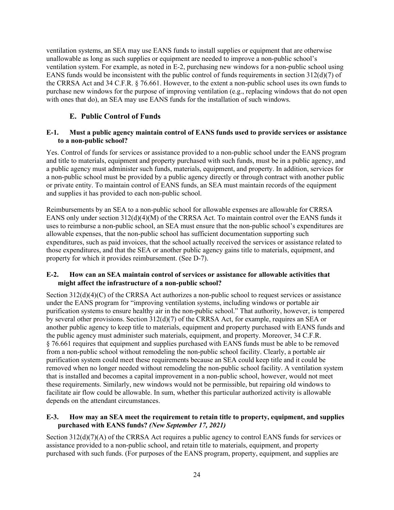ventilation systems, an SEA may use EANS funds to install supplies or equipment that are otherwise unallowable as long as such supplies or equipment are needed to improve a non-public school's ventilation system. For example, as noted in E-2, purchasing new windows for a non-public school using EANS funds would be inconsistent with the public control of funds requirements in section 312(d)(7) of the CRRSA Act and 34 C.F.R. § 76.661. However, to the extent a non-public school uses its own funds to purchase new windows for the purpose of improving ventilation (e.g., replacing windows that do not open with ones that do), an SEA may use EANS funds for the installation of such windows.

## **E. Public Control of Funds**

#### **E-1. Must a public agency maintain control of EANS funds used to provide services or assistance to a non-public school?**

Yes. Control of funds for services or assistance provided to a non-public school under the EANS program and title to materials, equipment and property purchased with such funds, must be in a public agency, and a public agency must administer such funds, materials, equipment, and property. In addition, services for a non-public school must be provided by a public agency directly or through contract with another public or private entity. To maintain control of EANS funds, an SEA must maintain records of the equipment and supplies it has provided to each non-public school.

Reimbursements by an SEA to a non-public school for allowable expenses are allowable for CRRSA EANS only under section 312(d)(4)(M) of the CRRSA Act. To maintain control over the EANS funds it uses to reimburse a non-public school, an SEA must ensure that the non-public school's expenditures are allowable expenses, that the non-public school has sufficient documentation supporting such expenditures, such as paid invoices, that the school actually received the services or assistance related to those expenditures, and that the SEA or another public agency gains title to materials, equipment, and property for which it provides reimbursement. (See D-7).

#### **E-2. How can an SEA maintain control of services or assistance for allowable activities that might affect the infrastructure of a non-public school?**

Section 312(d)(4)(C) of the CRRSA Act authorizes a non-public school to request services or assistance under the EANS program for "improving ventilation systems, including windows or portable air purification systems to ensure healthy air in the non-public school." That authority, however, is tempered by several other provisions. Section 312(d)(7) of the CRRSA Act, for example, requires an SEA or another public agency to keep title to materials, equipment and property purchased with EANS funds and the public agency must administer such materials, equipment, and property. Moreover, 34 C.F.R. § 76.661 requires that equipment and supplies purchased with EANS funds must be able to be removed from a non-public school without remodeling the non-public school facility. Clearly, a portable air purification system could meet these requirements because an SEA could keep title and it could be removed when no longer needed without remodeling the non-public school facility. A ventilation system that is installed and becomes a capital improvement in a non-public school, however, would not meet these requirements. Similarly, new windows would not be permissible, but repairing old windows to facilitate air flow could be allowable. In sum, whether this particular authorized activity is allowable depends on the attendant circumstances.

#### **E-3. How may an SEA meet the requirement to retain title to property, equipment, and supplies purchased with EANS funds?** *(New September 17, 2021)*

Section 312(d)(7)(A) of the CRRSA Act requires a public agency to control EANS funds for services or assistance provided to a non-public school, and retain title to materials, equipment, and property purchased with such funds. (For purposes of the EANS program, property, equipment, and supplies are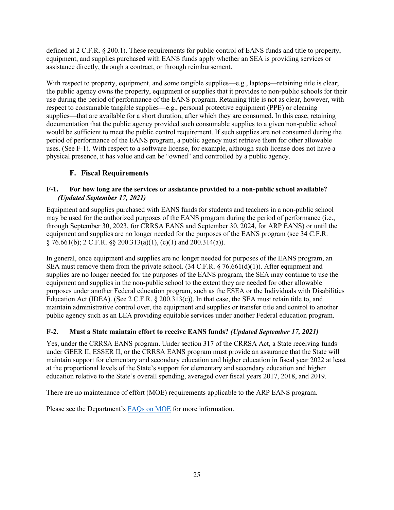defined at 2 C.F.R. § 200.1). These requirements for public control of EANS funds and title to property, equipment, and supplies purchased with EANS funds apply whether an SEA is providing services or assistance directly, through a contract, or through reimbursement.

With respect to property, equipment, and some tangible supplies—e.g., laptops—retaining title is clear; the public agency owns the property, equipment or supplies that it provides to non-public schools for their use during the period of performance of the EANS program. Retaining title is not as clear, however, with respect to consumable tangible supplies—e.g., personal protective equipment (PPE) or cleaning supplies—that are available for a short duration, after which they are consumed. In this case, retaining documentation that the public agency provided such consumable supplies to a given non-public school would be sufficient to meet the public control requirement. If such supplies are not consumed during the period of performance of the EANS program, a public agency must retrieve them for other allowable uses. (See F-1). With respect to a software license, for example, although such license does not have a physical presence, it has value and can be "owned" and controlled by a public agency.

# **F. Fiscal Requirements**

#### **F-1. For how long are the services or assistance provided to a non-public school available?** *(Updated September 17, 2021)*

Equipment and supplies purchased with EANS funds for students and teachers in a non-public school may be used for the authorized purposes of the EANS program during the period of performance (i.e., through September 30, 2023, for CRRSA EANS and September 30, 2024, for ARP EANS) or until the equipment and supplies are no longer needed for the purposes of the EANS program (see 34 C.F.R.  $§ 76.661(b); 2 C.F.R. §§ 200.313(a)(1), (c)(1) and 200.314(a)).$ 

In general, once equipment and supplies are no longer needed for purposes of the EANS program, an SEA must remove them from the private school.  $(34 \text{ C.F.R.} \text{ § } 76.661(d)(1))$ . After equipment and supplies are no longer needed for the purposes of the EANS program, the SEA may continue to use the equipment and supplies in the non-public school to the extent they are needed for other allowable purposes under another Federal education program, such as the ESEA or the Individuals with Disabilities Education Act (IDEA). (See 2 C.F.R. § 200.313(c)). In that case, the SEA must retain title to, and maintain administrative control over, the equipment and supplies or transfer title and control to another public agency such as an LEA providing equitable services under another Federal education program.

# **F-2. Must a State maintain effort to receive EANS funds?** *(Updated September 17, 2021)*

Yes, under the CRRSA EANS program. Under section 317 of the CRRSA Act, a State receiving funds under GEER II, ESSER II, or the CRRSA EANS program must provide an assurance that the State will maintain support for elementary and secondary education and higher education in fiscal year 2022 at least at the proportional levels of the State's support for elementary and secondary education and higher education relative to the State's overall spending, averaged over fiscal years 2017, 2018, and 2019.

There are no maintenance of effort (MOE) requirements applicable to the ARP EANS program.

Please see the Department's FAQs on MOE for more information.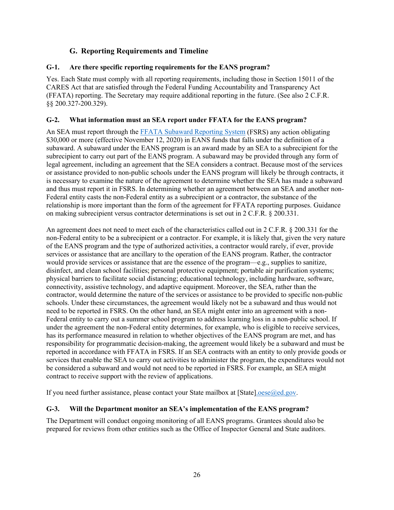# **G. Reporting Requirements and Timeline**

#### **G-1. Are there specific reporting requirements for the EANS program?**

Yes. Each State must comply with all reporting requirements, including those in Section 15011 of the CARES Act that are satisfied through the Federal Funding Accountability and Transparency Act (FFATA) reporting. The Secretary may require additional reporting in the future. (See also 2 C.F.R. §§ 200.327-200.329).

#### **G-2. What information must an SEA report under FFATA for the EANS program?**

An SEA must report through the FFATA Subaward Reporting System (FSRS) any action obligating \$30,000 or more (effective November 12, 2020) in EANS funds that falls under the definition of a subaward. A subaward under the EANS program is an award made by an SEA to a subrecipient for the subrecipient to carry out part of the EANS program. A subaward may be provided through any form of legal agreement, including an agreement that the SEA considers a contract. Because most of the services or assistance provided to non-public schools under the EANS program will likely be through contracts, it is necessary to examine the nature of the agreement to determine whether the SEA has made a subaward and thus must report it in FSRS. In determining whether an agreement between an SEA and another non-Federal entity casts the non-Federal entity as a subrecipient or a contractor, the substance of the relationship is more important than the form of the agreement for FFATA reporting purposes. Guidance on making subrecipient versus contractor determinations is set out in 2 C.F.R. § 200.331.

An agreement does not need to meet each of the characteristics called out in 2 C.F.R. § 200.331 for the non-Federal entity to be a subrecipient or a contractor. For example, it is likely that, given the very nature of the EANS program and the type of authorized activities, a contractor would rarely, if ever, provide services or assistance that are ancillary to the operation of the EANS program. Rather, the contractor would provide services or assistance that are the essence of the program—e.g., supplies to sanitize, disinfect, and clean school facilities; personal protective equipment; portable air purification systems; physical barriers to facilitate social distancing; educational technology, including hardware, software, connectivity, assistive technology, and adaptive equipment. Moreover, the SEA, rather than the contractor, would determine the nature of the services or assistance to be provided to specific non-public schools. Under these circumstances, the agreement would likely not be a subaward and thus would not need to be reported in FSRS. On the other hand, an SEA might enter into an agreement with a non-Federal entity to carry out a summer school program to address learning loss in a non-public school. If under the agreement the non-Federal entity determines, for example, who is eligible to receive services, has its performance measured in relation to whether objectives of the EANS program are met, and has responsibility for programmatic decision-making, the agreement would likely be a subaward and must be reported in accordance with FFATA in FSRS. If an SEA contracts with an entity to only provide goods or services that enable the SEA to carry out activities to administer the program, the expenditures would not be considered a subaward and would not need to be reported in FSRS. For example, an SEA might contract to receive support with the review of applications.

If you need further assistance, please contact your State mailbox at [State].oese@ed.gov.

#### **G-3. Will the Department monitor an SEA's implementation of the EANS program?**

The Department will conduct ongoing monitoring of all EANS programs. Grantees should also be prepared for reviews from other entities such as the Office of Inspector General and State auditors.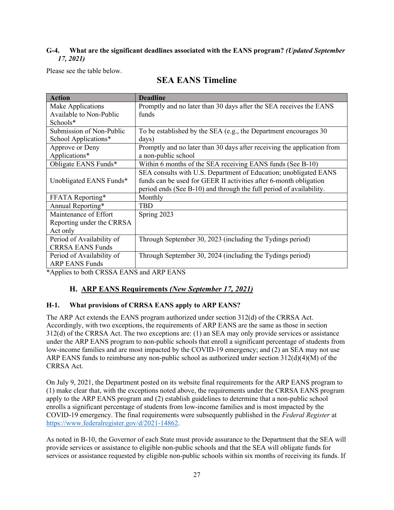### **G-4. What are the significant deadlines associated with the EANS program?** *(Updated September 17, 2021)*

Please see the table below.

| <b>Action</b>             | <b>Deadline</b>                                                         |
|---------------------------|-------------------------------------------------------------------------|
| Make Applications         | Promptly and no later than 30 days after the SEA receives the EANS      |
| Available to Non-Public   | funds                                                                   |
| Schools*                  |                                                                         |
| Submission of Non-Public  | To be established by the SEA (e.g., the Department encourages 30        |
| School Applications*      | days)                                                                   |
| Approve or Deny           | Promptly and no later than 30 days after receiving the application from |
| Applications*             | a non-public school                                                     |
| Obligate EANS Funds*      | Within 6 months of the SEA receiving EANS funds (See B-10)              |
|                           | SEA consults with U.S. Department of Education; unobligated EANS        |
| Unobligated EANS Funds*   | funds can be used for GEER II activities after 6-month obligation       |
|                           | period ends (See B-10) and through the full period of availability.     |
| FFATA Reporting*          | Monthly                                                                 |
| Annual Reporting*         | <b>TBD</b>                                                              |
| Maintenance of Effort     | Spring 2023                                                             |
| Reporting under the CRRSA |                                                                         |
| Act only                  |                                                                         |
| Period of Availability of | Through September 30, 2023 (including the Tydings period)               |
| <b>CRRSA EANS Funds</b>   |                                                                         |
| Period of Availability of | Through September 30, 2024 (including the Tydings period)               |
| <b>ARP EANS Funds</b>     |                                                                         |

# **SEA EANS Timeline**

\*Applies to both CRSSA EANS and ARP EANS

# **H. ARP EANS Requirements** *(New September 17, 2021)*

#### **H-1. What provisions of CRRSA EANS apply to ARP EANS?**

The ARP Act extends the EANS program authorized under section 312(d) of the CRRSA Act. Accordingly, with two exceptions, the requirements of ARP EANS are the same as those in section 312(d) of the CRRSA Act. The two exceptions are: (1) an SEA may only provide services or assistance under the ARP EANS program to non-public schools that enroll a significant percentage of students from low-income families and are most impacted by the COVID-19 emergency; and (2) an SEA may not use ARP EANS funds to reimburse any non-public school as authorized under section 312(d)(4)(M) of the CRRSA Act.

On July 9, 2021, the Department posted on its website final requirements for the ARP EANS program to (1) make clear that, with the exceptions noted above, the requirements under the CRRSA EANS program apply to the ARP EANS program and (2) establish guidelines to determine that a non-public school enrolls a significant percentage of students from low-income families and is most impacted by the COVID-19 emergency. The final requirements were subsequently published in the *Federal Register* at https://www.federalregister.gov/d/2021-14862.

As noted in B-10, the Governor of each State must provide assurance to the Department that the SEA will provide services or assistance to eligible non-public schools and that the SEA will obligate funds for services or assistance requested by eligible non-public schools within six months of receiving its funds. If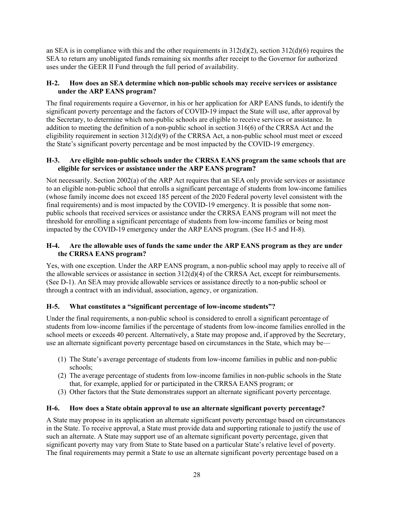an SEA is in compliance with this and the other requirements in  $312(d)(2)$ , section  $312(d)(6)$  requires the SEA to return any unobligated funds remaining six months after receipt to the Governor for authorized uses under the GEER II Fund through the full period of availability.

#### **H-2. How does an SEA determine which non-public schools may receive services or assistance under the ARP EANS program?**

The final requirements require a Governor, in his or her application for ARP EANS funds, to identify the significant poverty percentage and the factors of COVID-19 impact the State will use, after approval by the Secretary, to determine which non-public schools are eligible to receive services or assistance. In addition to meeting the definition of a non-public school in section 316(6) of the CRRSA Act and the eligibility requirement in section 312(d)(9) of the CRRSA Act, a non-public school must meet or exceed the State's significant poverty percentage and be most impacted by the COVID-19 emergency.

#### **H-3. Are eligible non-public schools under the CRRSA EANS program the same schools that are eligible for services or assistance under the ARP EANS program?**

Not necessarily. Section 2002(a) of the ARP Act requires that an SEA only provide services or assistance to an eligible non-public school that enrolls a significant percentage of students from low-income families (whose family income does not exceed 185 percent of the 2020 Federal poverty level consistent with the final requirements) and is most impacted by the COVID-19 emergency. It is possible that some nonpublic schools that received services or assistance under the CRRSA EANS program will not meet the threshold for enrolling a significant percentage of students from low-income families or being most impacted by the COVID-19 emergency under the ARP EANS program. (See H-5 and H-8).

#### **H-4. Are the allowable uses of funds the same under the ARP EANS program as they are under the CRRSA EANS program?**

Yes, with one exception. Under the ARP EANS program, a non-public school may apply to receive all of the allowable services or assistance in section 312(d)(4) of the CRRSA Act, except for reimbursements. (See D-1). An SEA may provide allowable services or assistance directly to a non-public school or through a contract with an individual, association, agency, or organization.

#### **H-5. What constitutes a "significant percentage of low-income students"?**

Under the final requirements, a non-public school is considered to enroll a significant percentage of students from low-income families if the percentage of students from low-income families enrolled in the school meets or exceeds 40 percent. Alternatively, a State may propose and, if approved by the Secretary, use an alternate significant poverty percentage based on circumstances in the State, which may be—

- (1) The State's average percentage of students from low-income families in public and non-public schools;
- (2) The average percentage of students from low-income families in non-public schools in the State that, for example, applied for or participated in the CRRSA EANS program; or
- (3) Other factors that the State demonstrates support an alternate significant poverty percentage.

#### **H-6. How does a State obtain approval to use an alternate significant poverty percentage?**

A State may propose in its application an alternate significant poverty percentage based on circumstances in the State. To receive approval, a State must provide data and supporting rationale to justify the use of such an alternate. A State may support use of an alternate significant poverty percentage, given that significant poverty may vary from State to State based on a particular State's relative level of poverty. The final requirements may permit a State to use an alternate significant poverty percentage based on a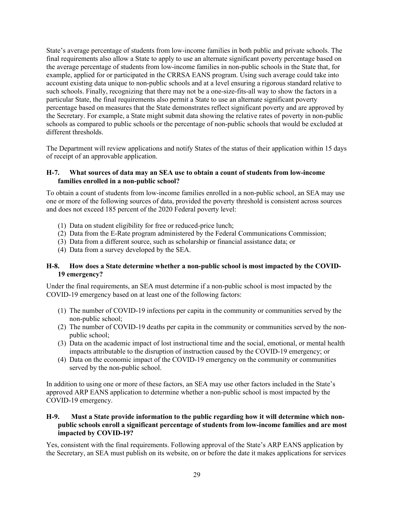State's average percentage of students from low-income families in both public and private schools. The final requirements also allow a State to apply to use an alternate significant poverty percentage based on the average percentage of students from low-income families in non-public schools in the State that, for example, applied for or participated in the CRRSA EANS program. Using such average could take into account existing data unique to non-public schools and at a level ensuring a rigorous standard relative to such schools. Finally, recognizing that there may not be a one-size-fits-all way to show the factors in a particular State, the final requirements also permit a State to use an alternate significant poverty percentage based on measures that the State demonstrates reflect significant poverty and are approved by the Secretary. For example, a State might submit data showing the relative rates of poverty in non-public schools as compared to public schools or the percentage of non-public schools that would be excluded at different thresholds.

The Department will review applications and notify States of the status of their application within 15 days of receipt of an approvable application.

#### **H-7. What sources of data may an SEA use to obtain a count of students from low-income families enrolled in a non-public school?**

To obtain a count of students from low-income families enrolled in a non-public school, an SEA may use one or more of the following sources of data, provided the poverty threshold is consistent across sources and does not exceed 185 percent of the 2020 Federal poverty level:

- (1) Data on student eligibility for free or reduced-price lunch;
- (2) Data from the E-Rate program administered by the Federal Communications Commission;
- (3) Data from a different source, such as scholarship or financial assistance data; or
- (4) Data from a survey developed by the SEA.

#### **H-8. How does a State determine whether a non-public school is most impacted by the COVID-19 emergency?**

Under the final requirements, an SEA must determine if a non-public school is most impacted by the COVID-19 emergency based on at least one of the following factors:

- (1) The number of COVID-19 infections per capita in the community or communities served by the non-public school;
- (2) The number of COVID-19 deaths per capita in the community or communities served by the nonpublic school;
- (3) Data on the academic impact of lost instructional time and the social, emotional, or mental health impacts attributable to the disruption of instruction caused by the COVID-19 emergency; or
- (4) Data on the economic impact of the COVID-19 emergency on the community or communities served by the non-public school.

In addition to using one or more of these factors, an SEA may use other factors included in the State's approved ARP EANS application to determine whether a non-public school is most impacted by the COVID-19 emergency.

#### **H-9. Must a State provide information to the public regarding how it will determine which nonpublic schools enroll a significant percentage of students from low-income families and are most impacted by COVID-19?**

Yes, consistent with the final requirements. Following approval of the State's ARP EANS application by the Secretary, an SEA must publish on its website, on or before the date it makes applications for services